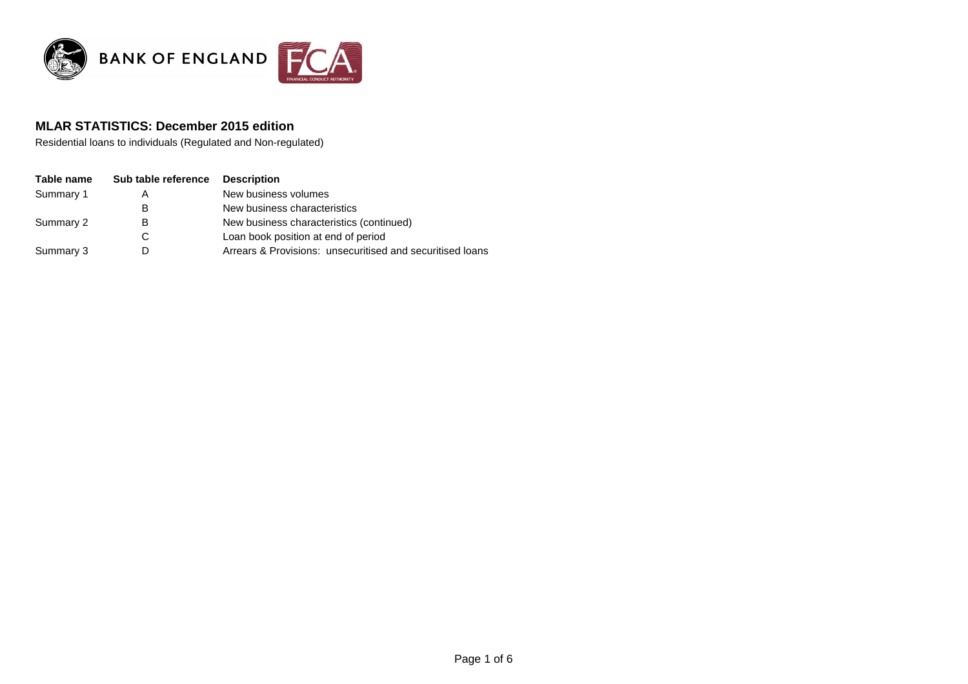

## **MLAR STATISTICS: December 2015 edition**

Residential loans to individuals (Regulated and Non-regulated)

| Table name | Sub table reference | <b>Description</b>                                        |
|------------|---------------------|-----------------------------------------------------------|
| Summary 1  | A                   | New business volumes                                      |
|            | В                   | New business characteristics                              |
| Summary 2  | В                   | New business characteristics (continued)                  |
|            | C                   | Loan book position at end of period                       |
| Summary 3  |                     | Arrears & Provisions: unsecuritised and securitised loans |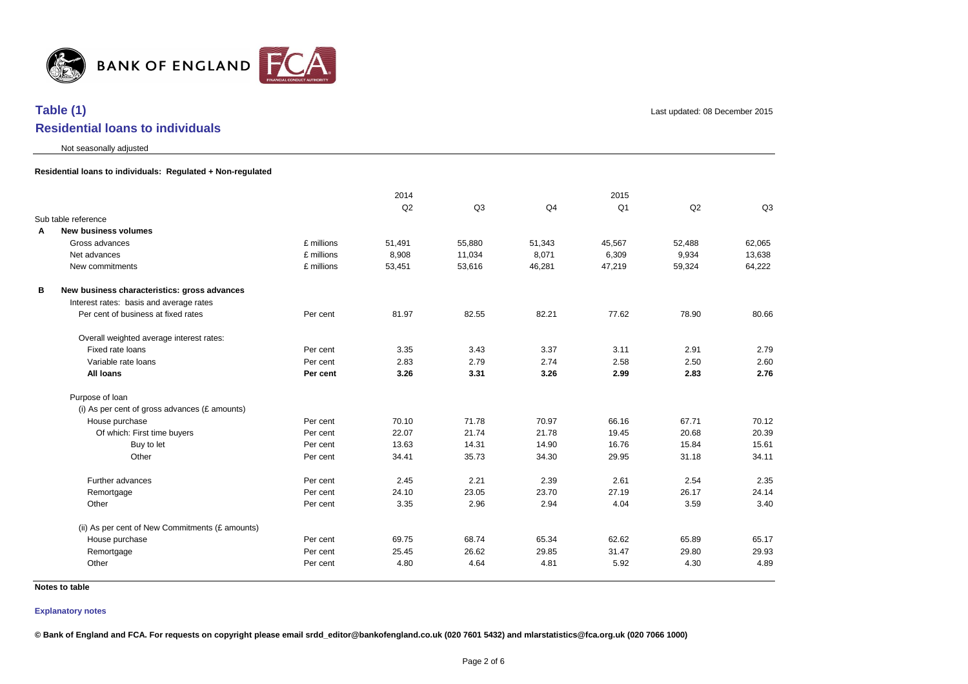

## **Table (1) Residential loans to individuals**

Last updated: 08 December 2015

Not seasonally adjusted

#### **Residential loans to individuals: Regulated + Non-regulated**

|                     |                                                 |            | 2014   |        |                | 2015   |        |        |
|---------------------|-------------------------------------------------|------------|--------|--------|----------------|--------|--------|--------|
|                     |                                                 |            | Q2     | Q3     | Q <sub>4</sub> | Q1     | Q2     | Q3     |
|                     | Sub table reference                             |            |        |        |                |        |        |        |
| A                   | <b>New business volumes</b>                     |            |        |        |                |        |        |        |
|                     | Gross advances                                  | £ millions | 51,491 | 55,880 | 51,343         | 45,567 | 52,488 | 62,065 |
|                     | Net advances                                    | £ millions | 8,908  | 11,034 | 8,071          | 6,309  | 9,934  | 13,638 |
|                     | New commitments                                 | £ millions | 53,451 | 53,616 | 46,281         | 47,219 | 59,324 | 64,222 |
| в                   | New business characteristics: gross advances    |            |        |        |                |        |        |        |
|                     | Interest rates: basis and average rates         |            |        |        |                |        |        |        |
|                     | Per cent of business at fixed rates             | Per cent   | 81.97  | 82.55  | 82.21          | 77.62  | 78.90  | 80.66  |
|                     | Overall weighted average interest rates:        |            |        |        |                |        |        |        |
|                     | Fixed rate loans                                | Per cent   | 3.35   | 3.43   | 3.37           | 3.11   | 2.91   | 2.79   |
| Variable rate loans |                                                 | Per cent   | 2.83   | 2.79   | 2.74           | 2.58   | 2.50   | 2.60   |
|                     | All loans                                       | Per cent   | 3.26   | 3.31   | 3.26           | 2.99   | 2.83   | 2.76   |
|                     | Purpose of loan                                 |            |        |        |                |        |        |        |
|                     | (i) As per cent of gross advances (£ amounts)   |            |        |        |                |        |        |        |
|                     | House purchase                                  | Per cent   | 70.10  | 71.78  | 70.97          | 66.16  | 67.71  | 70.12  |
|                     | Of which: First time buyers                     | Per cent   | 22.07  | 21.74  | 21.78          | 19.45  | 20.68  | 20.39  |
|                     | Buy to let                                      | Per cent   | 13.63  | 14.31  | 14.90          | 16.76  | 15.84  | 15.61  |
|                     | Other                                           | Per cent   | 34.41  | 35.73  | 34.30          | 29.95  | 31.18  | 34.11  |
|                     | Further advances                                | Per cent   | 2.45   | 2.21   | 2.39           | 2.61   | 2.54   | 2.35   |
| Remortgage          |                                                 | Per cent   | 24.10  | 23.05  | 23.70          | 27.19  | 26.17  | 24.14  |
|                     | Other                                           | Per cent   | 3.35   | 2.96   | 2.94           | 4.04   | 3.59   | 3.40   |
|                     | (ii) As per cent of New Commitments (£ amounts) |            |        |        |                |        |        |        |
|                     | House purchase                                  | Per cent   | 69.75  | 68.74  | 65.34          | 62.62  | 65.89  | 65.17  |
|                     | Remortgage                                      | Per cent   | 25.45  | 26.62  | 29.85          | 31.47  | 29.80  | 29.93  |
|                     | Other                                           | Per cent   | 4.80   | 4.64   | 4.81           | 5.92   | 4.30   | 4.89   |

**Notes to table**

#### **[Exp](http://www.bankofengland.co.uk/statistics/Pages/iadb/notesiadb/mlar.aspx)lanatory notes**

**© Bank of England and FCA. For requests on copyright please email srdd\_editor@bankofengland.co.uk (020 7601 5432) and mlarstatistics@fca.org.uk (020 7066 1000)**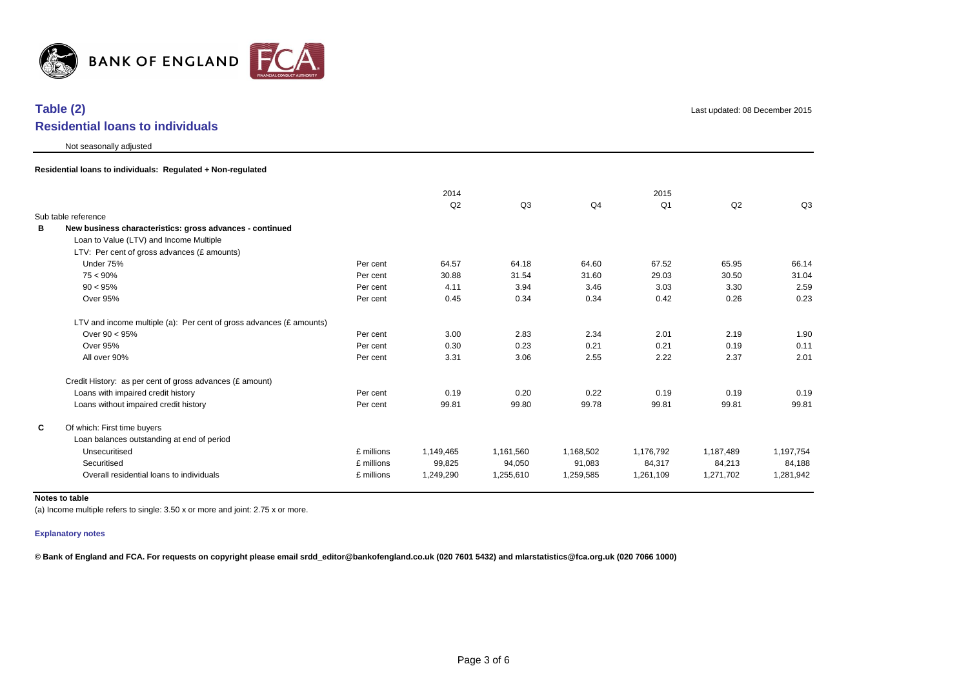

## **Table (2) Residential loans to individuals**

Not seasonally adjusted

Last updated: 08 December 2015

| Residential loans to individuals: Regulated + Non-regulated |  |
|-------------------------------------------------------------|--|
|                                                             |  |

|                                                                        |            | 2014      |           |                | 2015      |           |           |
|------------------------------------------------------------------------|------------|-----------|-----------|----------------|-----------|-----------|-----------|
|                                                                        |            | Q2        | Q3        | Q <sub>4</sub> | Q1        | Q2        | Q3        |
| Sub table reference                                                    |            |           |           |                |           |           |           |
| New business characteristics: gross advances - continued               |            |           |           |                |           |           |           |
| Loan to Value (LTV) and Income Multiple                                |            |           |           |                |           |           |           |
| LTV: Per cent of gross advances (£ amounts)                            |            |           |           |                |           |           |           |
| Under 75%                                                              | Per cent   | 64.57     | 64.18     | 64.60          | 67.52     | 65.95     | 66.14     |
| $75 < 90\%$                                                            | Per cent   | 30.88     | 31.54     | 31.60          | 29.03     | 30.50     | 31.04     |
| $90 < 95\%$                                                            | Per cent   | 4.11      | 3.94      | 3.46           | 3.03      | 3.30      | 2.59      |
| <b>Over 95%</b>                                                        | Per cent   | 0.45      | 0.34      | 0.34           | 0.42      | 0.26      | 0.23      |
| LTV and income multiple (a): Per cent of gross advances ( $E$ amounts) |            |           |           |                |           |           |           |
| Over $90 < 95\%$                                                       | Per cent   | 3.00      | 2.83      | 2.34           | 2.01      | 2.19      | 1.90      |
| Over 95%                                                               | Per cent   | 0.30      | 0.23      | 0.21           | 0.21      | 0.19      | 0.11      |
| All over 90%                                                           | Per cent   | 3.31      | 3.06      | 2.55           | 2.22      | 2.37      | 2.01      |
| Credit History: as per cent of gross advances (£ amount)               |            |           |           |                |           |           |           |
| Loans with impaired credit history                                     | Per cent   | 0.19      | 0.20      | 0.22           | 0.19      | 0.19      | 0.19      |
| Loans without impaired credit history                                  | Per cent   | 99.81     | 99.80     | 99.78          | 99.81     | 99.81     | 99.81     |
| Of which: First time buyers                                            |            |           |           |                |           |           |           |
| Loan balances outstanding at end of period                             |            |           |           |                |           |           |           |
| Unsecuritised                                                          | £ millions | 1,149,465 | 1,161,560 | 1,168,502      | 1,176,792 | 1,187,489 | 1,197,754 |
| Securitised                                                            | £ millions | 99,825    | 94,050    | 91,083         | 84,317    | 84,213    | 84,188    |
| Overall residential loans to individuals                               | £ millions | 1,249,290 | 1,255,610 | 1,259,585      | 1,261,109 | 1,271,702 | 1,281,942 |
|                                                                        |            |           |           |                |           |           |           |

#### **Notes to table**

(a) Income multiple refers to single: 3.50 x or more and joint: 2.75 x or more.

#### **[Exp](http://www.bankofengland.co.uk/statistics/Pages/iadb/notesiadb/mlar.aspx)lanatory notes**

**© Bank of England and FCA. For requests on copyright please email srdd\_editor@bankofengland.co.uk (020 7601 5432) and mlarstatistics@fca.org.uk (020 7066 1000)**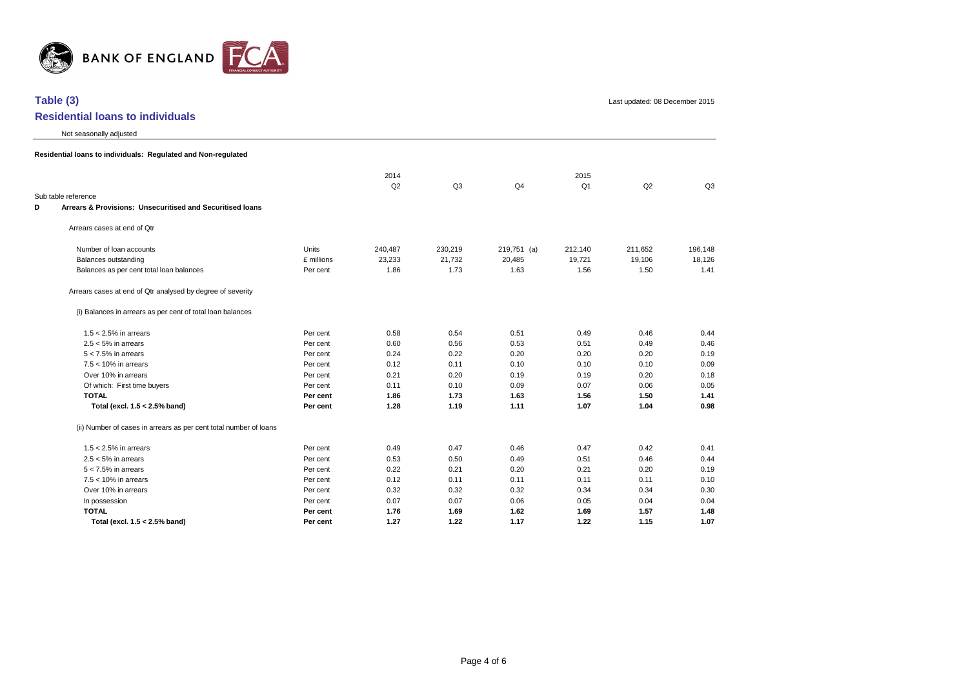

**Table (3)**

# Not seasonally adjusted **Residential loans to individuals: Regulated and Non-regulated** 2014 2015 Q2 Q3 Q4 Q1 Q2 Q3 Sub table reference **D Arrears & Provisions: Unsecuritised and Securitised loans** Arrears cases at end of Qtr Number of loan accounts **196,148** Units 240,487 230,219 219,751 (a) 212,140 211,652 196,148 Balances outstanding and the state of the state of the millions 23,233 21,732 20,485 19,721 19,706 18,126 Balances as per cent total loan balances **Act Act Act Per cent** 1.86 1.73 1.63 1.56 1.56 1.50 1.41 Arrears cases at end of Qtr analysed by degree of severity (i) Balances in arrears as per cent of total loan balances 1.5 < 2.5% in arrears the contract that the cent the contract of the contract of the contract of the contract of the contract of the contract of the contract of the contract of the contract of the contract of the contract 2.5 < 5% in arrears Per cent 0.60 0.56 0.53 0.51 0.49 0.46 5 < 7.5% in arrears Per cent 0.24 0.22 0.20 0.20 0.20 0.19 7.5 < 10% in arrears Per cent 0.12 0.11 0.10 0.10 0.10 0.09 Over 10% in arrears Per cent 0.21 0.20 0.19 0.19 0.20 0.18 Of which: First time buyers **Example 20:08** Per cent **0.11** 0.10 0.09 0.07 0.06 0.05 0.05 **TOTAL Per cent 1.86 1.73 1.63 1.56 1.50 1.41 Total (excl. 1.5 < 2.5% band) Per cent 1.28 1.19 1.11 1.07 1.04 0.98** (ii) Number of cases in arrears as per cent total number of loans 1.5 < 2.5% in arrears 6.41 method of the cent the cent of the cent of  $0.49$  and  $0.47$   $0.40$   $0.47$   $0.42$   $0.41$   $0.40$ 2.5 < 5% in arrears Per cent 0.53 0.50 0.49 0.51 0.46 0.44 5 < 7.5% in arrears Per cent 0.22 0.21 0.20 0.21 0.20 0.19 7.5 < 10% in arrears Per cent 0.12 0.11 0.11 0.11 0.11 0.10 Over 10% in arrears Per cent 0.32 0.32 0.32 0.34 0.34 0.30 In possession Per cent 0.07 0.07 0.06 0.05 0.04 0.04 **TOTAL Per cent 1.76 1.69 1.62 1.69 1.57 1.48 Residential loans to individuals**

**Total (excl. 1.5 < 2.5% band) Per cent 1.27 1.22 1.17 1.22 1.15 1.07**

# Last updated: 08 December 2015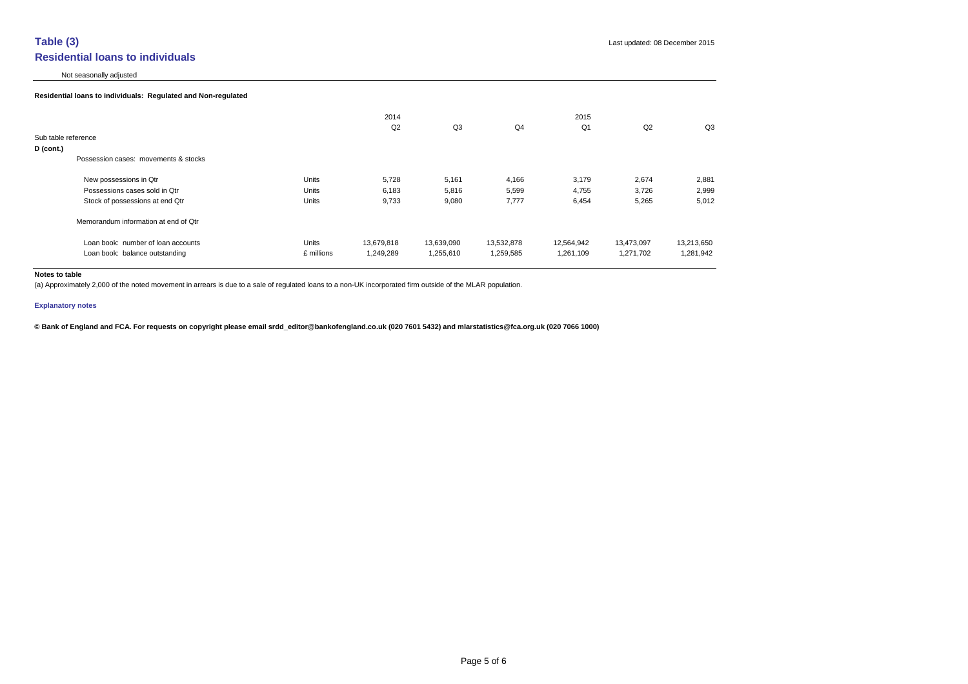#### Not seasonally adjusted

#### **Residential loans to individuals: Regulated and Non-regulated**

| Sub table reference<br>$D$ (cont.)<br>Possession cases: movements & stocks                                   |                                       | 2014<br>Q2              | Q3                      | Q <sub>4</sub>          | 2015<br>Q1              | Q2                      | Q3                      |
|--------------------------------------------------------------------------------------------------------------|---------------------------------------|-------------------------|-------------------------|-------------------------|-------------------------|-------------------------|-------------------------|
| New possessions in Qtr<br>Possessions cases sold in Otr<br>Stock of possessions at end Qtr                   | <b>Units</b><br><b>Units</b><br>Units | 5,728<br>6,183<br>9,733 | 5,161<br>5,816<br>9,080 | 4,166<br>5,599<br>7,777 | 3,179<br>4,755<br>6,454 | 2,674<br>3,726<br>5,265 | 2,881<br>2,999<br>5,012 |
| Memorandum information at end of Qtr<br>Loan book: number of loan accounts<br>Loan book: balance outstanding | <b>Units</b><br>£ millions            | 13,679,818<br>1,249,289 | 13,639,090<br>1,255,610 | 13,532,878<br>1,259,585 | 12,564,942<br>1,261,109 | 13,473,097<br>1,271,702 | 13,213,650<br>1,281,942 |

#### **Notes to table**

(a) Approximately 2,000 of the noted movement in arrears is due to a sale of regulated loans to a non-UK incorporated firm outside of the MLAR population.

#### **[Exp](http://www.bankofengland.co.uk/statistics/Pages/iadb/notesiadb/mlar.aspx)lanatory notes**

**© Bank of England and FCA. For requests on copyright please email srdd\_editor@bankofengland.co.uk (020 7601 5432) and mlarstatistics@fca.org.uk (020 7066 1000)**